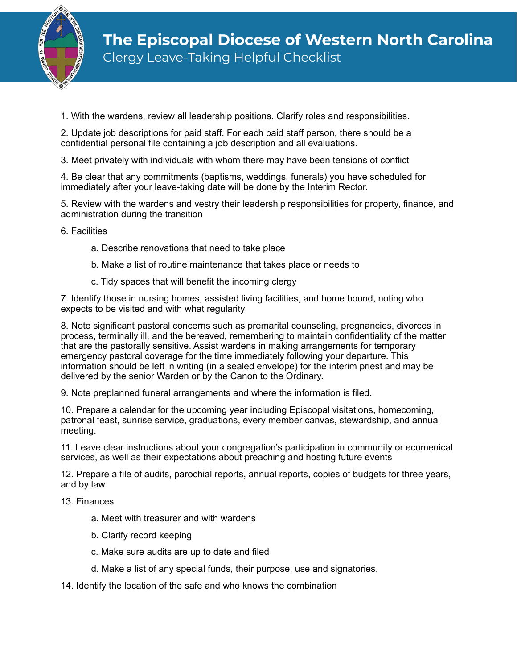

1. With the wardens, review all leadership positions. Clarify roles and responsibilities.

2. Update job descriptions for paid staff. For each paid staff person, there should be a confidential personal file containing a job description and all evaluations.

3. Meet privately with individuals with whom there may have been tensions of conflict

4. Be clear that any commitments (baptisms, weddings, funerals) you have scheduled for immediately after your leave-taking date will be done by the Interim Rector.

5. Review with the wardens and vestry their leadership responsibilities for property, finance, and administration during the transition

6. Facilities

- a. Describe renovations that need to take place
- b. Make a list of routine maintenance that takes place or needs to
- c. Tidy spaces that will benefit the incoming clergy

7. Identify those in nursing homes, assisted living facilities, and home bound, noting who expects to be visited and with what regularity

8. Note significant pastoral concerns such as premarital counseling, pregnancies, divorces in process, terminally ill, and the bereaved, remembering to maintain confidentiality of the matter that are the pastorally sensitive. Assist wardens in making arrangements for temporary emergency pastoral coverage for the time immediately following your departure. This information should be left in writing (in a sealed envelope) for the interim priest and may be delivered by the senior Warden or by the Canon to the Ordinary.

9. Note preplanned funeral arrangements and where the information is filed.

10. Prepare a calendar for the upcoming year including Episcopal visitations, homecoming, patronal feast, sunrise service, graduations, every member canvas, stewardship, and annual meeting.

11. Leave clear instructions about your congregation's participation in community or ecumenical services, as well as their expectations about preaching and hosting future events

12. Prepare a file of audits, parochial reports, annual reports, copies of budgets for three years, and by law.

13. Finances

- a. Meet with treasurer and with wardens
- b. Clarify record keeping
- c. Make sure audits are up to date and filed
- d. Make a list of any special funds, their purpose, use and signatories.

14. Identify the location of the safe and who knows the combination